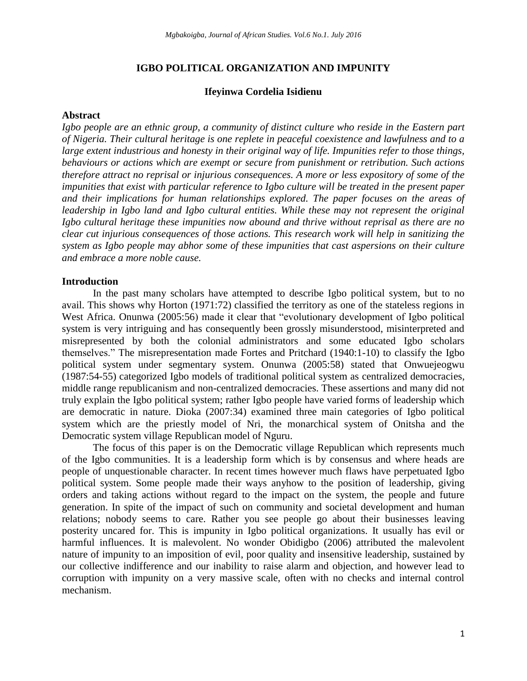## **IGBO POLITICAL ORGANIZATION AND IMPUNITY**

### **Ifeyinwa Cordelia Isidienu**

## **Abstract**

*Igbo people are an ethnic group, a community of distinct culture who reside in the Eastern part of Nigeria. Their cultural heritage is one replete in peaceful coexistence and lawfulness and to a large extent industrious and honesty in their original way of life. Impunities refer to those things, behaviours or actions which are exempt or secure from punishment or retribution. Such actions therefore attract no reprisal or injurious consequences. A more or less expository of some of the impunities that exist with particular reference to Igbo culture will be treated in the present paper and their implications for human relationships explored. The paper focuses on the areas of leadership in Igbo land and Igbo cultural entities. While these may not represent the original Igbo cultural heritage these impunities now abound and thrive without reprisal as there are no clear cut injurious consequences of those actions. This research work will help in sanitizing the system as Igbo people may abhor some of these impunities that cast aspersions on their culture and embrace a more noble cause.* 

### **Introduction**

In the past many scholars have attempted to describe Igbo political system, but to no avail. This shows why Horton (1971:72) classified the territory as one of the stateless regions in West Africa. Onunwa (2005:56) made it clear that "evolutionary development of Igbo political system is very intriguing and has consequently been grossly misunderstood, misinterpreted and misrepresented by both the colonial administrators and some educated Igbo scholars themselves." The misrepresentation made Fortes and Pritchard (1940:1-10) to classify the Igbo political system under segmentary system. Onunwa (2005:58) stated that Onwuejeogwu (1987:54-55) categorized Igbo models of traditional political system as centralized democracies, middle range republicanism and non-centralized democracies. These assertions and many did not truly explain the Igbo political system; rather Igbo people have varied forms of leadership which are democratic in nature. Dioka (2007:34) examined three main categories of Igbo political system which are the priestly model of Nri, the monarchical system of Onitsha and the Democratic system village Republican model of Nguru.

The focus of this paper is on the Democratic village Republican which represents much of the Igbo communities. It is a leadership form which is by consensus and where heads are people of unquestionable character. In recent times however much flaws have perpetuated Igbo political system. Some people made their ways anyhow to the position of leadership, giving orders and taking actions without regard to the impact on the system, the people and future generation. In spite of the impact of such on community and societal development and human relations; nobody seems to care. Rather you see people go about their businesses leaving posterity uncared for. This is impunity in Igbo political organizations. It usually has evil or harmful influences. It is malevolent. No wonder Obidigbo (2006) attributed the malevolent nature of impunity to an imposition of evil, poor quality and insensitive leadership, sustained by our collective indifference and our inability to raise alarm and objection, and however lead to corruption with impunity on a very massive scale, often with no checks and internal control mechanism.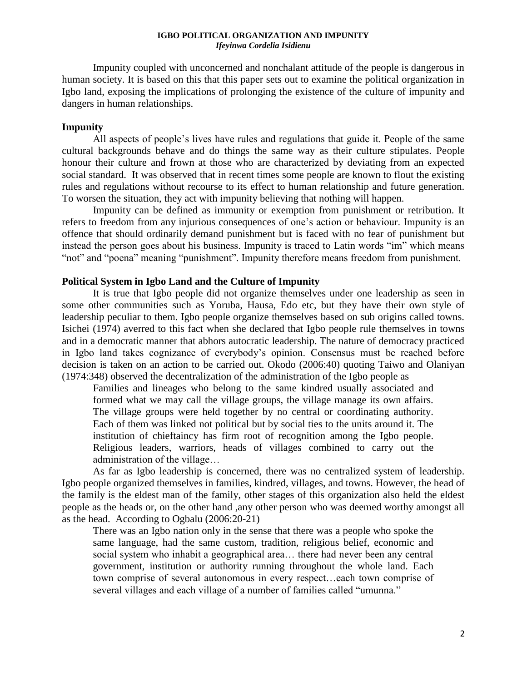Impunity coupled with unconcerned and nonchalant attitude of the people is dangerous in human society. It is based on this that this paper sets out to examine the political organization in Igbo land, exposing the implications of prolonging the existence of the culture of impunity and dangers in human relationships.

# **Impunity**

All aspects of people's lives have rules and regulations that guide it. People of the same cultural backgrounds behave and do things the same way as their culture stipulates. People honour their culture and frown at those who are characterized by deviating from an expected social standard. It was observed that in recent times some people are known to flout the existing rules and regulations without recourse to its effect to human relationship and future generation. To worsen the situation, they act with impunity believing that nothing will happen.

Impunity can be defined as immunity or exemption from punishment or retribution. It refers to freedom from any injurious consequences of one's action or behaviour. Impunity is an offence that should ordinarily demand punishment but is faced with no fear of punishment but instead the person goes about his business. Impunity is traced to Latin words "im" which means "not" and "poena" meaning "punishment". Impunity therefore means freedom from punishment.

# **Political System in Igbo Land and the Culture of Impunity**

It is true that Igbo people did not organize themselves under one leadership as seen in some other communities such as Yoruba, Hausa, Edo etc, but they have their own style of leadership peculiar to them. Igbo people organize themselves based on sub origins called towns. Isichei (1974) averred to this fact when she declared that Igbo people rule themselves in towns and in a democratic manner that abhors autocratic leadership. The nature of democracy practiced in Igbo land takes cognizance of everybody's opinion. Consensus must be reached before decision is taken on an action to be carried out. Okodo (2006:40) quoting Taiwo and Olaniyan (1974:348) observed the decentralization of the administration of the Igbo people as

Families and lineages who belong to the same kindred usually associated and formed what we may call the village groups, the village manage its own affairs. The village groups were held together by no central or coordinating authority. Each of them was linked not political but by social ties to the units around it. The institution of chieftaincy has firm root of recognition among the Igbo people. Religious leaders, warriors, heads of villages combined to carry out the administration of the village…

As far as Igbo leadership is concerned, there was no centralized system of leadership. Igbo people organized themselves in families, kindred, villages, and towns. However, the head of the family is the eldest man of the family, other stages of this organization also held the eldest people as the heads or, on the other hand ,any other person who was deemed worthy amongst all as the head. According to Ogbalu (2006:20-21)

There was an Igbo nation only in the sense that there was a people who spoke the same language, had the same custom, tradition, religious belief, economic and social system who inhabit a geographical area… there had never been any central government, institution or authority running throughout the whole land. Each town comprise of several autonomous in every respect…each town comprise of several villages and each village of a number of families called "umunna."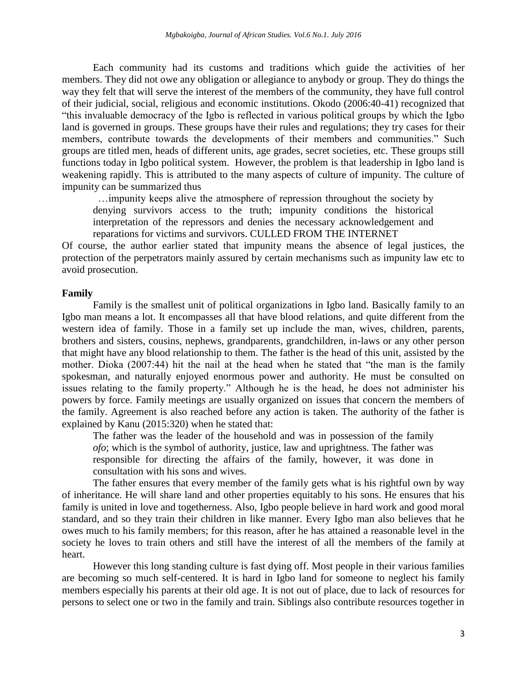Each community had its customs and traditions which guide the activities of her members. They did not owe any obligation or allegiance to anybody or group. They do things the way they felt that will serve the interest of the members of the community, they have full control of their judicial, social, religious and economic institutions. Okodo (2006:40-41) recognized that "this invaluable democracy of the Igbo is reflected in various political groups by which the Igbo land is governed in groups. These groups have their rules and regulations; they try cases for their members, contribute towards the developments of their members and communities." Such groups are titled men, heads of different units, age grades, secret societies, etc. These groups still functions today in Igbo political system. However, the problem is that leadership in Igbo land is weakening rapidly. This is attributed to the many aspects of culture of impunity. The culture of impunity can be summarized thus

 …impunity keeps alive the atmosphere of repression throughout the society by denying survivors access to the truth; impunity conditions the historical interpretation of the repressors and denies the necessary acknowledgement and reparations for victims and survivors. CULLED FROM THE INTERNET

Of course, the author earlier stated that impunity means the absence of legal justices, the protection of the perpetrators mainly assured by certain mechanisms such as impunity law etc to avoid prosecution.

#### **Family**

Family is the smallest unit of political organizations in Igbo land. Basically family to an Igbo man means a lot. It encompasses all that have blood relations, and quite different from the western idea of family. Those in a family set up include the man, wives, children, parents, brothers and sisters, cousins, nephews, grandparents, grandchildren, in-laws or any other person that might have any blood relationship to them. The father is the head of this unit, assisted by the mother. Dioka (2007:44) hit the nail at the head when he stated that "the man is the family spokesman, and naturally enjoyed enormous power and authority. He must be consulted on issues relating to the family property." Although he is the head, he does not administer his powers by force. Family meetings are usually organized on issues that concern the members of the family. Agreement is also reached before any action is taken. The authority of the father is explained by Kanu (2015:320) when he stated that:

The father was the leader of the household and was in possession of the family *ofo*; which is the symbol of authority, justice, law and uprightness. The father was responsible for directing the affairs of the family, however, it was done in consultation with his sons and wives.

The father ensures that every member of the family gets what is his rightful own by way of inheritance. He will share land and other properties equitably to his sons. He ensures that his family is united in love and togetherness. Also, Igbo people believe in hard work and good moral standard, and so they train their children in like manner. Every Igbo man also believes that he owes much to his family members; for this reason, after he has attained a reasonable level in the society he loves to train others and still have the interest of all the members of the family at heart.

However this long standing culture is fast dying off. Most people in their various families are becoming so much self-centered. It is hard in Igbo land for someone to neglect his family members especially his parents at their old age. It is not out of place, due to lack of resources for persons to select one or two in the family and train. Siblings also contribute resources together in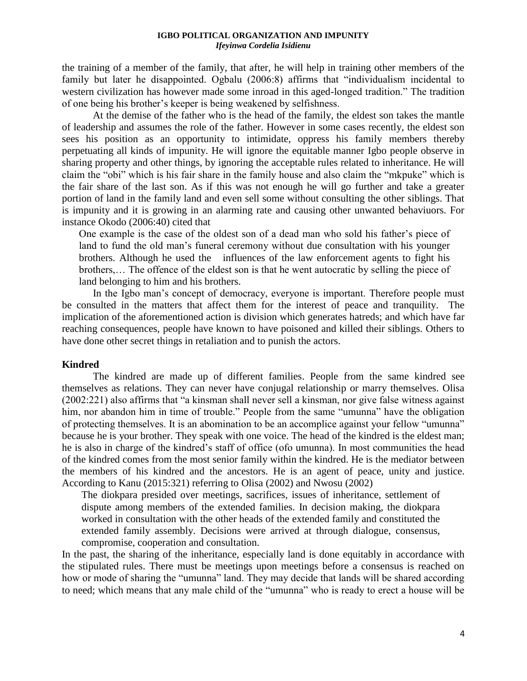the training of a member of the family, that after, he will help in training other members of the family but later he disappointed. Ogbalu (2006:8) affirms that "individualism incidental to western civilization has however made some inroad in this aged-longed tradition." The tradition of one being his brother's keeper is being weakened by selfishness.

At the demise of the father who is the head of the family, the eldest son takes the mantle of leadership and assumes the role of the father. However in some cases recently, the eldest son sees his position as an opportunity to intimidate, oppress his family members thereby perpetuating all kinds of impunity. He will ignore the equitable manner Igbo people observe in sharing property and other things, by ignoring the acceptable rules related to inheritance. He will claim the "obi" which is his fair share in the family house and also claim the "mkpuke" which is the fair share of the last son. As if this was not enough he will go further and take a greater portion of land in the family land and even sell some without consulting the other siblings. That is impunity and it is growing in an alarming rate and causing other unwanted behaviuors. For instance Okodo (2006:40) cited that

One example is the case of the oldest son of a dead man who sold his father's piece of land to fund the old man's funeral ceremony without due consultation with his younger brothers. Although he used the influences of the law enforcement agents to fight his brothers,… The offence of the eldest son is that he went autocratic by selling the piece of land belonging to him and his brothers.

In the Igbo man's concept of democracy, everyone is important. Therefore people must be consulted in the matters that affect them for the interest of peace and tranquility. The implication of the aforementioned action is division which generates hatreds; and which have far reaching consequences, people have known to have poisoned and killed their siblings. Others to have done other secret things in retaliation and to punish the actors.

### **Kindred**

The kindred are made up of different families. People from the same kindred see themselves as relations. They can never have conjugal relationship or marry themselves. Olisa (2002:221) also affirms that "a kinsman shall never sell a kinsman, nor give false witness against him, nor abandon him in time of trouble." People from the same "umunna" have the obligation of protecting themselves. It is an abomination to be an accomplice against your fellow "umunna" because he is your brother. They speak with one voice. The head of the kindred is the eldest man; he is also in charge of the kindred's staff of office (ofo umunna). In most communities the head of the kindred comes from the most senior family within the kindred. He is the mediator between the members of his kindred and the ancestors. He is an agent of peace, unity and justice. According to Kanu (2015:321) referring to Olisa (2002) and Nwosu (2002)

The diokpara presided over meetings, sacrifices, issues of inheritance, settlement of dispute among members of the extended families. In decision making, the diokpara worked in consultation with the other heads of the extended family and constituted the extended family assembly. Decisions were arrived at through dialogue, consensus, compromise, cooperation and consultation.

In the past, the sharing of the inheritance, especially land is done equitably in accordance with the stipulated rules. There must be meetings upon meetings before a consensus is reached on how or mode of sharing the "umunna" land. They may decide that lands will be shared according to need; which means that any male child of the "umunna" who is ready to erect a house will be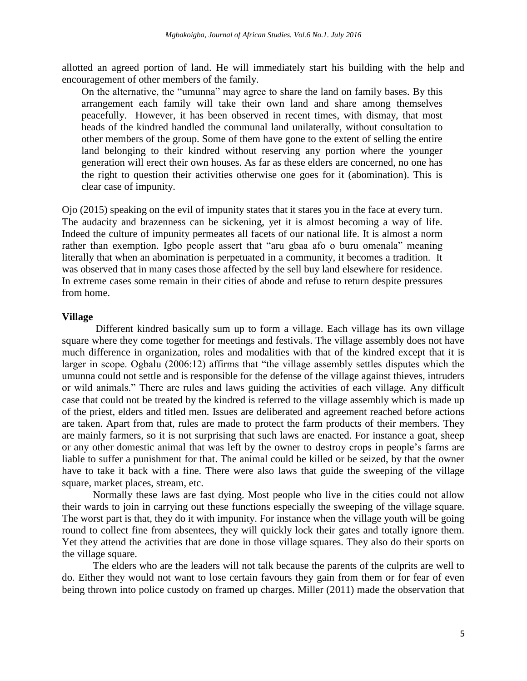allotted an agreed portion of land. He will immediately start his building with the help and encouragement of other members of the family.

On the alternative, the "umunna" may agree to share the land on family bases. By this arrangement each family will take their own land and share among themselves peacefully. However, it has been observed in recent times, with dismay, that most heads of the kindred handled the communal land unilaterally, without consultation to other members of the group. Some of them have gone to the extent of selling the entire land belonging to their kindred without reserving any portion where the younger generation will erect their own houses. As far as these elders are concerned, no one has the right to question their activities otherwise one goes for it (abomination). This is clear case of impunity.

Ojo (2015) speaking on the evil of impunity states that it stares you in the face at every turn. The audacity and brazenness can be sickening, yet it is almost becoming a way of life. Indeed the culture of impunity permeates all facets of our national life. It is almost a norm rather than exemption. Igbo people assert that "aru gbaa afo o buru omenala" meaning literally that when an abomination is perpetuated in a community, it becomes a tradition. It was observed that in many cases those affected by the sell buy land elsewhere for residence. In extreme cases some remain in their cities of abode and refuse to return despite pressures from home.

#### **Village**

Different kindred basically sum up to form a village. Each village has its own village square where they come together for meetings and festivals. The village assembly does not have much difference in organization, roles and modalities with that of the kindred except that it is larger in scope. Ogbalu (2006:12) affirms that "the village assembly settles disputes which the umunna could not settle and is responsible for the defense of the village against thieves, intruders or wild animals." There are rules and laws guiding the activities of each village. Any difficult case that could not be treated by the kindred is referred to the village assembly which is made up of the priest, elders and titled men. Issues are deliberated and agreement reached before actions are taken. Apart from that, rules are made to protect the farm products of their members. They are mainly farmers, so it is not surprising that such laws are enacted. For instance a goat, sheep or any other domestic animal that was left by the owner to destroy crops in people's farms are liable to suffer a punishment for that. The animal could be killed or be seized, by that the owner have to take it back with a fine. There were also laws that guide the sweeping of the village square, market places, stream, etc.

Normally these laws are fast dying. Most people who live in the cities could not allow their wards to join in carrying out these functions especially the sweeping of the village square. The worst part is that, they do it with impunity. For instance when the village youth will be going round to collect fine from absentees, they will quickly lock their gates and totally ignore them. Yet they attend the activities that are done in those village squares. They also do their sports on the village square.

The elders who are the leaders will not talk because the parents of the culprits are well to do. Either they would not want to lose certain favours they gain from them or for fear of even being thrown into police custody on framed up charges. Miller (2011) made the observation that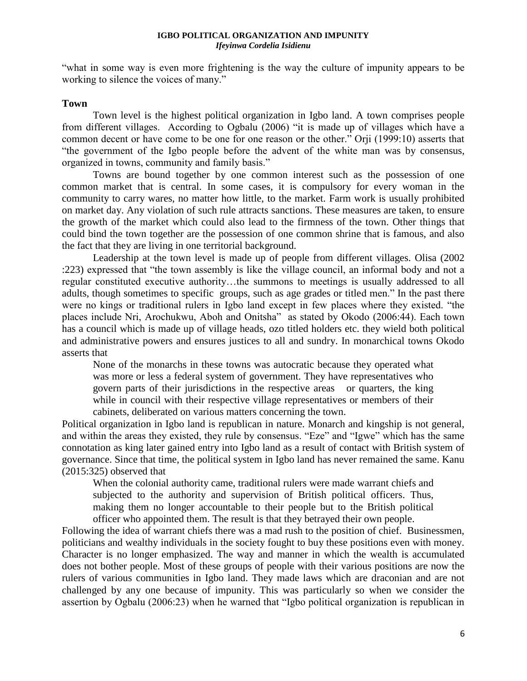"what in some way is even more frightening is the way the culture of impunity appears to be working to silence the voices of many."

## **Town**

Town level is the highest political organization in Igbo land. A town comprises people from different villages. According to Ogbalu (2006) "it is made up of villages which have a common decent or have come to be one for one reason or the other." Orji (1999:10) asserts that "the government of the Igbo people before the advent of the white man was by consensus, organized in towns, community and family basis."

Towns are bound together by one common interest such as the possession of one common market that is central. In some cases, it is compulsory for every woman in the community to carry wares, no matter how little, to the market. Farm work is usually prohibited on market day. Any violation of such rule attracts sanctions. These measures are taken, to ensure the growth of the market which could also lead to the firmness of the town. Other things that could bind the town together are the possession of one common shrine that is famous, and also the fact that they are living in one territorial background.

Leadership at the town level is made up of people from different villages. Olisa (2002 :223) expressed that "the town assembly is like the village council, an informal body and not a regular constituted executive authority…the summons to meetings is usually addressed to all adults, though sometimes to specific groups, such as age grades or titled men." In the past there were no kings or traditional rulers in Igbo land except in few places where they existed. "the places include Nri, Arochukwu, Aboh and Onitsha" as stated by Okodo (2006:44). Each town has a council which is made up of village heads, ozo titled holders etc. they wield both political and administrative powers and ensures justices to all and sundry. In monarchical towns Okodo asserts that

None of the monarchs in these towns was autocratic because they operated what was more or less a federal system of government. They have representatives who govern parts of their jurisdictions in the respective areas or quarters, the king while in council with their respective village representatives or members of their cabinets, deliberated on various matters concerning the town.

Political organization in Igbo land is republican in nature. Monarch and kingship is not general, and within the areas they existed, they rule by consensus. "Eze" and "Igwe" which has the same connotation as king later gained entry into Igbo land as a result of contact with British system of governance. Since that time, the political system in Igbo land has never remained the same. Kanu (2015:325) observed that

When the colonial authority came, traditional rulers were made warrant chiefs and subjected to the authority and supervision of British political officers. Thus, making them no longer accountable to their people but to the British political officer who appointed them. The result is that they betrayed their own people.

Following the idea of warrant chiefs there was a mad rush to the position of chief. Businessmen, politicians and wealthy individuals in the society fought to buy these positions even with money. Character is no longer emphasized. The way and manner in which the wealth is accumulated does not bother people. Most of these groups of people with their various positions are now the rulers of various communities in Igbo land. They made laws which are draconian and are not challenged by any one because of impunity. This was particularly so when we consider the assertion by Ogbalu (2006:23) when he warned that "Igbo political organization is republican in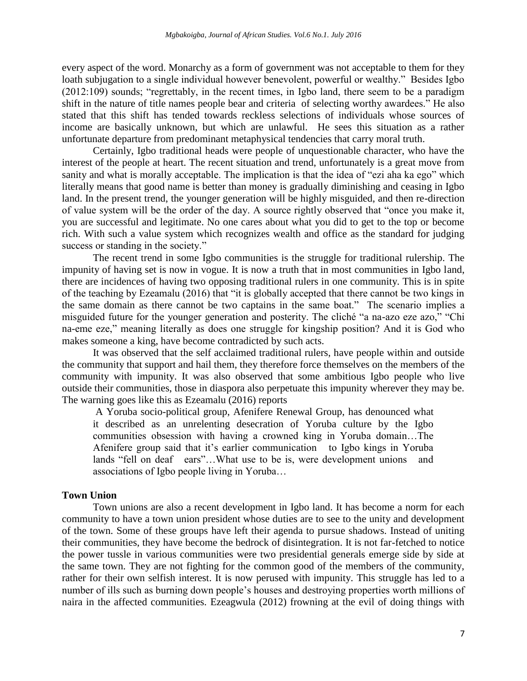every aspect of the word. Monarchy as a form of government was not acceptable to them for they loath subjugation to a single individual however benevolent, powerful or wealthy." Besides Igbo (2012:109) sounds; "regrettably, in the recent times, in Igbo land, there seem to be a paradigm shift in the nature of title names people bear and criteria of selecting worthy awardees." He also stated that this shift has tended towards reckless selections of individuals whose sources of income are basically unknown, but which are unlawful. He sees this situation as a rather unfortunate departure from predominant metaphysical tendencies that carry moral truth.

Certainly, Igbo traditional heads were people of unquestionable character, who have the interest of the people at heart. The recent situation and trend, unfortunately is a great move from sanity and what is morally acceptable. The implication is that the idea of "ezi aha ka ego" which literally means that good name is better than money is gradually diminishing and ceasing in Igbo land. In the present trend, the younger generation will be highly misguided, and then re-direction of value system will be the order of the day. A source rightly observed that "once you make it, you are successful and legitimate. No one cares about what you did to get to the top or become rich. With such a value system which recognizes wealth and office as the standard for judging success or standing in the society."

The recent trend in some Igbo communities is the struggle for traditional rulership. The impunity of having set is now in vogue. It is now a truth that in most communities in Igbo land, there are incidences of having two opposing traditional rulers in one community. This is in spite of the teaching by Ezeamalu (2016) that "it is globally accepted that there cannot be two kings in the same domain as there cannot be two captains in the same boat." The scenario implies a misguided future for the younger generation and posterity. The cliché "a na-azo eze azo," "Chi na-eme eze," meaning literally as does one struggle for kingship position? And it is God who makes someone a king, have become contradicted by such acts.

It was observed that the self acclaimed traditional rulers, have people within and outside the community that support and hail them, they therefore force themselves on the members of the community with impunity. It was also observed that some ambitious Igbo people who live outside their communities, those in diaspora also perpetuate this impunity wherever they may be. The warning goes like this as Ezeamalu (2016) reports

A Yoruba socio-political group, Afenifere Renewal Group, has denounced what it described as an unrelenting desecration of Yoruba culture by the Igbo communities obsession with having a crowned king in Yoruba domain…The Afenifere group said that it's earlier communication to Igbo kings in Yoruba lands "fell on deaf ears"...What use to be is, were development unions and associations of Igbo people living in Yoruba…

### **Town Union**

Town unions are also a recent development in Igbo land. It has become a norm for each community to have a town union president whose duties are to see to the unity and development of the town. Some of these groups have left their agenda to pursue shadows. Instead of uniting their communities, they have become the bedrock of disintegration. It is not far-fetched to notice the power tussle in various communities were two presidential generals emerge side by side at the same town. They are not fighting for the common good of the members of the community, rather for their own selfish interest. It is now perused with impunity. This struggle has led to a number of ills such as burning down people's houses and destroying properties worth millions of naira in the affected communities. Ezeagwula (2012) frowning at the evil of doing things with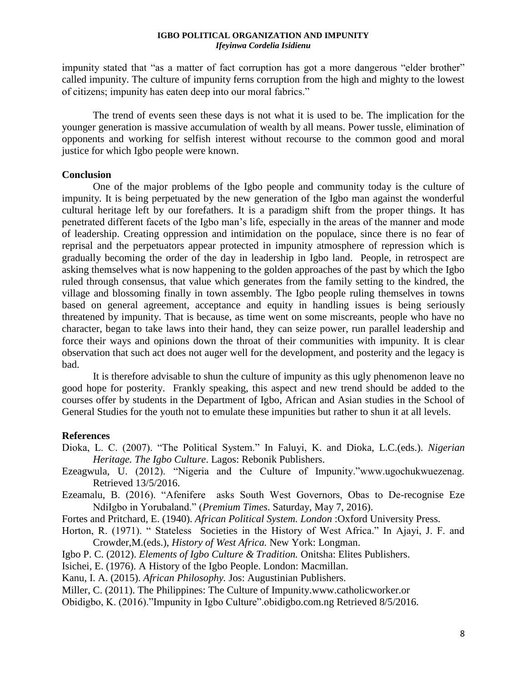impunity stated that "as a matter of fact corruption has got a more dangerous "elder brother" called impunity. The culture of impunity ferns corruption from the high and mighty to the lowest of citizens; impunity has eaten deep into our moral fabrics."

The trend of events seen these days is not what it is used to be. The implication for the younger generation is massive accumulation of wealth by all means. Power tussle, elimination of opponents and working for selfish interest without recourse to the common good and moral justice for which Igbo people were known.

## **Conclusion**

One of the major problems of the Igbo people and community today is the culture of impunity. It is being perpetuated by the new generation of the Igbo man against the wonderful cultural heritage left by our forefathers. It is a paradigm shift from the proper things. It has penetrated different facets of the Igbo man's life, especially in the areas of the manner and mode of leadership. Creating oppression and intimidation on the populace, since there is no fear of reprisal and the perpetuators appear protected in impunity atmosphere of repression which is gradually becoming the order of the day in leadership in Igbo land. People, in retrospect are asking themselves what is now happening to the golden approaches of the past by which the Igbo ruled through consensus, that value which generates from the family setting to the kindred, the village and blossoming finally in town assembly. The Igbo people ruling themselves in towns based on general agreement, acceptance and equity in handling issues is being seriously threatened by impunity. That is because, as time went on some miscreants, people who have no character, began to take laws into their hand, they can seize power, run parallel leadership and force their ways and opinions down the throat of their communities with impunity. It is clear observation that such act does not auger well for the development, and posterity and the legacy is bad.

It is therefore advisable to shun the culture of impunity as this ugly phenomenon leave no good hope for posterity. Frankly speaking, this aspect and new trend should be added to the courses offer by students in the Department of Igbo, African and Asian studies in the School of General Studies for the youth not to emulate these impunities but rather to shun it at all levels.

# **References**

- Dioka, L. C. (2007). "The Political System." In Faluyi, K. and Dioka, L.C.(eds.). *Nigerian Heritage. The Igbo Culture*. Lagos: Rebonik Publishers.
- Ezeagwula, U. (2012). "Nigeria and the Culture of Impunity."www.ugochukwuezenag. Retrieved 13/5/2016.
- Ezeamalu, B. (2016). "Afenifere asks South West Governors, Obas to De-recognise Eze NdiIgbo in Yorubaland." (*Premium Times*. Saturday, May 7, 2016).
- Fortes and Pritchard, E. (1940). *African Political System. London* :Oxford University Press.
- Horton, R. (1971). " Stateless Societies in the History of West Africa." In Ajayi, J. F. and Crowder,M.(eds.), *History of West Africa.* New York: Longman.
- Igbo P. C. (2012). *Elements of Igbo Culture & Tradition.* Onitsha: Elites Publishers.
- Isichei, E. (1976). A History of the Igbo People. London: Macmillan.
- Kanu, I. A. (2015). *African Philosophy.* Jos: Augustinian Publishers.

Miller, C. (2011). The Philippines: The Culture of Impunity.www.catholicworker.or

Obidigbo, K. (2016)."Impunity in Igbo Culture".obidigbo.com.ng Retrieved 8/5/2016.